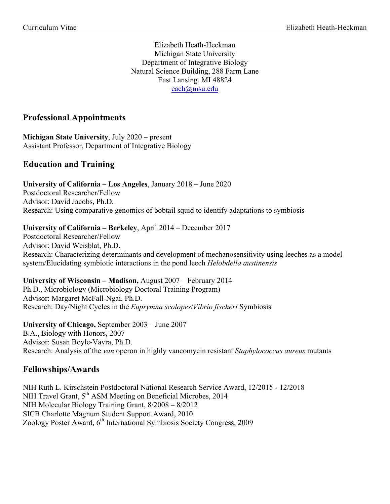Elizabeth Heath-Heckman Michigan State University Department of Integrative Biology Natural Science Building, 288 Farm Lane East Lansing, MI 48824 each@msu.edu

# **Professional Appointments**

**Michigan State University**, July 2020 – present Assistant Professor, Department of Integrative Biology

# **Education and Training**

**University of California – Los Angeles**, January 2018 – June 2020 Postdoctoral Researcher/Fellow Advisor: David Jacobs, Ph.D. Research: Using comparative genomics of bobtail squid to identify adaptations to symbiosis

#### **University of California – Berkeley**, April 2014 – December 2017

Postdoctoral Researcher/Fellow Advisor: David Weisblat, Ph.D. Research: Characterizing determinants and development of mechanosensitivity using leeches as a model system/Elucidating symbiotic interactions in the pond leech *Helobdella austinensis*

#### **University of Wisconsin – Madison,** August 2007 – February 2014

Ph.D., Microbiology (Microbiology Doctoral Training Program) Advisor: Margaret McFall-Ngai, Ph.D. Research: Day/Night Cycles in the *Euprymna scolopes*/*Vibrio fischeri* Symbiosis

## **University of Chicago,** September 2003 – June 2007

B.A., Biology with Honors, 2007 Advisor: Susan Boyle-Vavra, Ph.D. Research: Analysis of the *van* operon in highly vancomycin resistant *Staphylococcus aureus* mutants

## **Fellowships/Awards**

NIH Ruth L. Kirschstein Postdoctoral National Research Service Award, 12/2015 - 12/2018 NIH Travel Grant, 5<sup>th</sup> ASM Meeting on Beneficial Microbes, 2014 NIH Molecular Biology Training Grant, 8/2008 – 8/2012 SICB Charlotte Magnum Student Support Award, 2010 Zoology Poster Award, 6th International Symbiosis Society Congress, 2009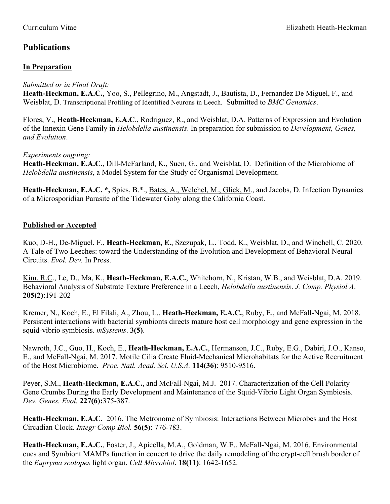# **Publications**

## **In Preparation**

*Submitted or in Final Draft:*

**Heath-Heckman, E.A.C.**, Yoo, S., Pellegrino, M., Angstadt, J., Bautista, D., Fernandez De Miguel, F., and Weisblat, D. Transcriptional Profiling of Identified Neurons in Leech. Submitted to *BMC Genomics*.

Flores, V., **Heath-Heckman, E.A.C**., Rodriguez, R., and Weisblat, D.A. Patterns of Expression and Evolution of the Innexin Gene Family in *Helobdella austinensis*. In preparation for submission to *Development, Genes, and Evolution*.

## *Experiments ongoing:*

**Heath-Heckman, E.A.C**., Dill-McFarland, K., Suen, G., and Weisblat, D. Definition of the Microbiome of *Helobdella austinensis*, a Model System for the Study of Organismal Development.

**Heath-Heckman, E.A.C. \*,** Spies, B.\*., Bates, A., Welchel, M., Glick, M., and Jacobs, D. Infection Dynamics of a Microsporidian Parasite of the Tidewater Goby along the California Coast.

# **Published or Accepted**

Kuo, D-H., De-Miguel, F., **Heath-Heckman, E.**, Szczupak, L., Todd, K., Weisblat, D., and Winchell, C. 2020. A Tale of Two Leeches: toward the Understanding of the Evolution and Development of Behavioral Neural Circuits. *Evol. Dev.* In Press.

Kim, R.C., Le, D., Ma, K., **Heath-Heckman, E.A.C.**, Whitehorn, N., Kristan, W.B., and Weisblat, D.A. 2019. Behavioral Analysis of Substrate Texture Preference in a Leech, *Helobdella austinensis*. *J. Comp. Physiol A*. **205(2)**:191-202

Kremer, N., Koch, E., El Filali, A., Zhou, L., **Heath-Heckman, E.A.C.**, Ruby, E., and McFall-Ngai, M. 2018. Persistent interactions with bacterial symbionts directs mature host cell morphology and gene expression in the squid-vibrio symbiosis. *mSystems*. **3(5)**.

Nawroth, J.C., Guo, H., Koch, E., **Heath-Heckman, E.A.C.**, Hermanson, J.C., Ruby, E.G., Dabiri, J.O., Kanso, E., and McFall-Ngai, M. 2017. Motile Cilia Create Fluid-Mechanical Microhabitats for the Active Recruitment of the Host Microbiome. *Proc. Natl. Acad. Sci. U.S.A.* **114(36)**: 9510-9516.

Peyer, S.M., **Heath-Heckman, E.A.C.**, and McFall-Ngai, M.J. 2017. Characterization of the Cell Polarity Gene Crumbs During the Early Development and Maintenance of the Squid-Vibrio Light Organ Symbiosis. *Dev. Genes. Evol.* **227(6):**375-387.

**Heath-Heckman, E.A.C.** 2016. The Metronome of Symbiosis: Interactions Between Microbes and the Host Circadian Clock. *Integr Comp Biol.* **56(5)**: 776-783.

**Heath-Heckman, E.A.C.**, Foster, J., Apicella, M.A., Goldman, W.E., McFall-Ngai, M. 2016. Environmental cues and Symbiont MAMPs function in concert to drive the daily remodeling of the crypt-cell brush border of the *Eupryma scolopes* light organ. *Cell Microbiol*. **18(11)**: 1642-1652.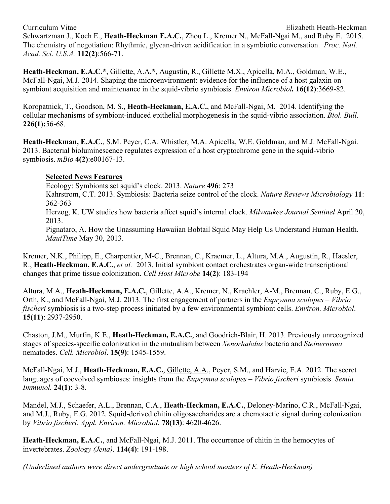Schwartzman J., Koch E., **Heath-Heckman E.A.C.**, Zhou L., Kremer N., McFall-Ngai M., and Ruby E. 2015. The chemistry of negotiation: Rhythmic, glycan-driven acidification in a symbiotic conversation. *Proc. Natl. Acad. Sci. U.S.A.* **112(2)**:566-71.

**Heath-Heckman, E.A.C.\***, Gillette, A.A**.\***, Augustin, R., Gillette M.X., Apicella, M.A., Goldman, W.E., McFall-Ngai, M.J. 2014. Shaping the microenvironment: evidence for the influence of a host galaxin on symbiont acquisition and maintenance in the squid-vibrio symbiosis. *Environ Microbiol.* **16(12)**:3669-82.

Koropatnick, T., Goodson, M. S., **Heath-Heckman, E.A.C.**, and McFall-Ngai, M. 2014. Identifying the cellular mechanisms of symbiont-induced epithelial morphogenesis in the squid-vibrio association. *Biol. Bull.* **226(1):**56-68.

**Heath-Heckman, E.A.C.**, S.M. Peyer, C.A. Whistler, M.A. Apicella, W.E. Goldman, and M.J. McFall-Ngai. 2013. Bacterial bioluminescence regulates expression of a host cryptochrome gene in the squid-vibrio symbiosis. *mBio* **4(2)**:e00167-13.

## **Selected News Features**

Ecology: Symbionts set squid's clock. 2013. *Nature* **496**: 273 Kahrstrom, C.T. 2013. Symbiosis: Bacteria seize control of the clock. *Nature Reviews Microbiology* **11**: 362-363 Herzog, K. UW studies how bacteria affect squid's internal clock. *Milwaukee Journal Sentinel* April 20, 2013. Pignataro, A. How the Unassuming Hawaiian Bobtail Squid May Help Us Understand Human Health. *MauiTime* May 30, 2013.

Kremer, N.K., Philipp, E., Charpentier, M-C., Brennan, C., Kraemer, L., Altura, M.A., Augustin, R., Haesler, R., **Heath-Heckman, E.A.C.**, *et al.* 2013. Initial symbiont contact orchestrates organ-wide transcriptional changes that prime tissue colonization. *Cell Host Microbe* **14(2)**: 183-194

Altura, M.A., **Heath-Heckman, E.A.C.**, Gillette, A.A., Kremer, N., Krachler, A-M., Brennan, C., Ruby, E.G., Orth, K., and McFall-Ngai, M.J. 2013. The first engagement of partners in the *Euprymna scolopes – Vibrio fischeri* symbiosis is a two-step process initiated by a few environmental symbiont cells. *Environ. Microbiol*. **15(11)**: 2937-2950.

Chaston, J.M., Murfin, K.E., **Heath-Heckman, E.A.C.**, and Goodrich-Blair, H. 2013. Previously unrecognized stages of species-specific colonization in the mutualism between *Xenorhabdus* bacteria and *Steinernema* nematodes. *Cell. Microbiol*. **15(9)**: 1545-1559.

McFall-Ngai, M.J., **Heath-Heckman, E.A.C.**, Gillette, A.A., Peyer, S.M., and Harvie, E.A. 2012. The secret languages of coevolved symbioses: insights from the *Euprymna scolopes* – *Vibrio fischeri* symbiosis. *Semin. Immunol.* **24(1)**: 3-8.

Mandel, M.J., Schaefer, A.L., Brennan, C.A., **Heath-Heckman, E.A.C.**, Deloney-Marino, C.R., McFall-Ngai, and M.J., Ruby, E.G. 2012. Squid-derived chitin oligosaccharides are a chemotactic signal during colonization by *Vibrio fischeri*. *Appl. Environ. Microbiol.* **78(13)**: 4620-4626.

**Heath-Heckman, E.A.C.**, and McFall-Ngai, M.J. 2011. The occurrence of chitin in the hemocytes of invertebrates. *Zoology (Jena)*. **114(4)**: 191-198.

*(Underlined authors were direct undergraduate or high school mentees of E. Heath-Heckman)*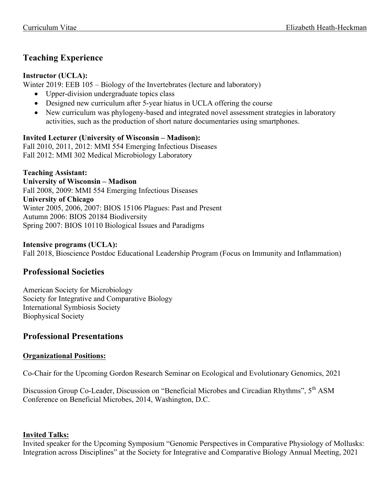# **Teaching Experience**

## **Instructor (UCLA):**

Winter 2019: EEB 105 – Biology of the Invertebrates (lecture and laboratory)

- Upper-division undergraduate topics class
- Designed new curriculum after 5-year hiatus in UCLA offering the course
- New curriculum was phylogeny-based and integrated novel assessment strategies in laboratory activities, such as the production of short nature documentaries using smartphones.

## **Invited Lecturer (University of Wisconsin – Madison):**

Fall 2010, 2011, 2012: MMI 554 Emerging Infectious Diseases Fall 2012: MMI 302 Medical Microbiology Laboratory

## **Teaching Assistant:**

**University of Wisconsin – Madison** Fall 2008, 2009: MMI 554 Emerging Infectious Diseases **University of Chicago** Winter 2005, 2006, 2007: BIOS 15106 Plagues: Past and Present Autumn 2006: BIOS 20184 Biodiversity Spring 2007: BIOS 10110 Biological Issues and Paradigms

## **Intensive programs (UCLA):**

Fall 2018, Bioscience Postdoc Educational Leadership Program (Focus on Immunity and Inflammation)

# **Professional Societies**

American Society for Microbiology Society for Integrative and Comparative Biology International Symbiosis Society Biophysical Society

# **Professional Presentations**

# **Organizational Positions:**

Co-Chair for the Upcoming Gordon Research Seminar on Ecological and Evolutionary Genomics, 2021

Discussion Group Co-Leader, Discussion on "Beneficial Microbes and Circadian Rhythms", 5<sup>th</sup> ASM Conference on Beneficial Microbes, 2014, Washington, D.C.

## **Invited Talks:**

Invited speaker for the Upcoming Symposium "Genomic Perspectives in Comparative Physiology of Mollusks: Integration across Disciplines" at the Society for Integrative and Comparative Biology Annual Meeting, 2021